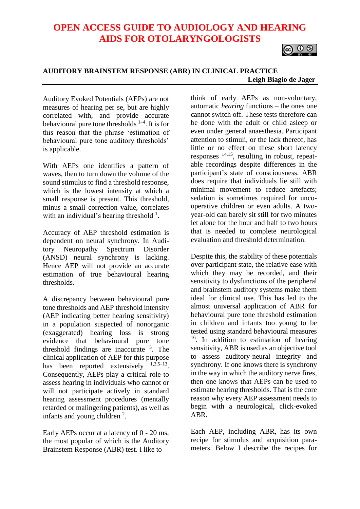# **OPEN ACCESS GUIDE TO AUDIOLOGY AND HEARING AIDS FOR OTOLARYNGOLOGISTS**



# **AUDITORY BRAINSTEM RESPONSE (ABR) IN CLINICAL PRACTICE Leigh Biagio de Jager**

Auditory Evoked Potentials (AEPs) are not measures of hearing per se, but are highly correlated with, and provide accurate behavioural pure tone thresholds  $1-4$ . It is for this reason that the phrase 'estimation of behavioural pure tone auditory thresholds' is applicable.

With AEPs one identifies a pattern of waves, then to turn down the volume of the sound stimulus to find a threshold response, which is the lowest intensity at which a small response is present. This threshold, minus a small correction value, correlates with an individual's hearing threshold  $^1$ .

Accuracy of AEP threshold estimation is dependent on neural synchrony. In Auditory Neuropathy Spectrum Disorder (ANSD) neural synchrony is lacking. Hence AEP will not provide an accurate estimation of true behavioural hearing thresholds.

A discrepancy between behavioural pure tone thresholds and AEP threshold intensity (AEP indicating better hearing sensitivity) in a population suspected of nonorganic (exaggerated) hearing loss is strong evidence that behavioural pure tone threshold findings are inaccurate <sup>5</sup> . The clinical application of AEP for this purpose has been reported extensively  $1,3,5-13$ . Consequently, AEPs play a critical role to assess hearing in individuals who cannot or will not participate actively in standard hearing assessment procedures (mentally retarded or malingering patients), as well as infants and young children  $2$ .

Early AEPs occur at a latency of 0 - 20 ms, the most popular of which is the Auditory Brainstem Response (ABR) test. I like to

 $\overline{a}$ 

think of early AEPs as non-voluntary, automatic *hearing* functions – the ones one cannot switch off. These tests therefore can be done with the adult or child asleep or even under general anaesthesia. Participant attention to stimuli, or the lack thereof, has little or no effect on these short latency responses 14,15, resulting in robust, repeatable recordings despite differences in the participant's state of consciousness. ABR does require that individuals lie still with minimal movement to reduce artefacts: sedation is sometimes required for uncooperative children or even adults. A twoyear-old can barely sit still for two minutes let alone for the hour and half to two hours that is needed to complete neurological evaluation and threshold determination.

Despite this, the stability of these potentials over participant state, the relative ease with which they may be recorded, and their sensitivity to dysfunctions of the peripheral and brainstem auditory systems make them ideal for clinical use. This has led to the almost universal application of ABR for behavioural pure tone threshold estimation in children and infants too young to be tested using standard behavioural measures <sup>16</sup>. In addition to estimation of hearing sensitivity, ABR is used as an objective tool to assess auditory-neural integrity and synchrony. If one knows there is synchrony in the way in which the auditory nerve fires, then one knows that AEPs can be used to estimate hearing thresholds. That is the core reason why every AEP assessment needs to begin with a neurological, click-evoked ABR.

Each AEP, including ABR, has its own recipe for stimulus and acquisition parameters. Below I describe the recipes for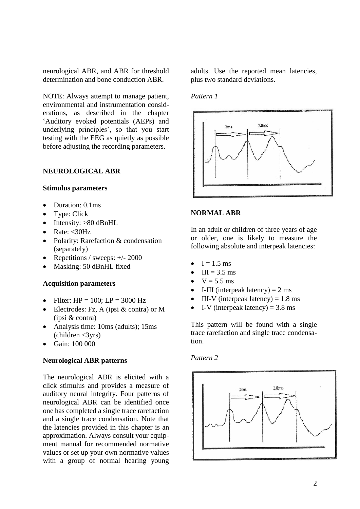neurological ABR, and ABR for threshold determination and bone conduction ABR.

NOTE: Always attempt to manage patient, environmental and instrumentation considerations, as described in the chapter 'Auditory evoked potentials (AEPs) and underlying principles', so that you start testing with the EEG as quietly as possible before adjusting the recording parameters.

### **NEUROLOGICAL ABR**

#### **Stimulus parameters**

- Duration: 0.1ms
- Type: Click
- Intensity:  $>80$  dBnHL
- Rate:  $<$ 30Hz
- Polarity: Rarefaction & condensation (separately)
- Repetitions / sweeps: +/- 2000
- Masking: 50 dBnHL fixed

#### **Acquisition parameters**

- Filter:  $HP = 100$ :  $LP = 3000$  Hz
- Electrodes: Fz, A (ipsi & contra) or M (ipsi & contra)
- Analysis time: 10ms (adults); 15ms  $\text{(children} < 3\text{vrs})$
- Gain: 100 000

#### **Neurological ABR patterns**

The neurological ABR is elicited with a click stimulus and provides a measure of auditory neural integrity. Four patterns of neurological ABR can be identified once one has completed a single trace rarefaction and a single trace condensation. Note that the latencies provided in this chapter is an approximation. Always consult your equipment manual for recommended normative values or set up your own normative values with a group of normal hearing young

adults. Use the reported mean latencies, plus two standard deviations.

#### *Pattern 1*



# **NORMAL ABR**

In an adult or children of three years of age or older, one is likely to measure the following absolute and interpeak latencies:

- $I = 1.5$  ms
- $\bullet$  III = 3.5 ms
- $V = 5.5$  ms
- I-III (interpeak latency)  $= 2$  ms
- III-V (interpeak latency)  $= 1.8$  ms
- I-V (interpeak latency)  $= 3.8$  ms

This pattern will be found with a single trace rarefaction and single trace condensation.

#### *Pattern 2*

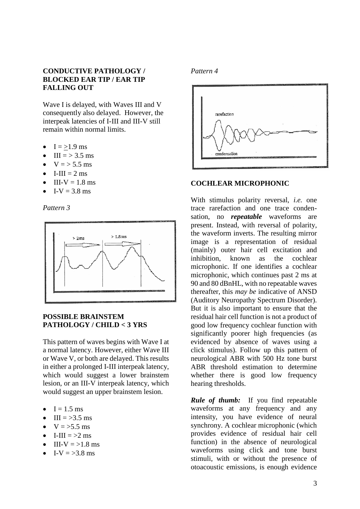# **CONDUCTIVE PATHOLOGY / BLOCKED EAR TIP / EAR TIP FALLING OUT**

Wave I is delayed, with Waves III and V consequently also delayed. However, the interpeak latencies of I-III and III-V still remain within normal limits.

- $-I = >1.9$  ms
- III =  $> 3.5$  ms
- $V = 5.5$  ms
- $\bullet$  I-III = 2 ms
- $III-V = 1.8$  ms
- I-V =  $3.8 \text{ ms}$

*Pattern 3*



# **POSSIBLE BRAINSTEM PATHOLOGY / CHILD < 3 YRS**

This pattern of waves begins with Wave I at a normal latency. However, either Wave III or Wave V, or both are delayed. This results in either a prolonged I-III interpeak latency, which would suggest a lower brainstem lesion, or an III-V interpeak latency, which would suggest an upper brainstem lesion.

- $I = 1.5$  ms
- III =  $>3.5$  ms
- $V = > 5.5$  ms
- I-III  $=$  >2 ms
- III-V  $=$  >1.8 ms
- $I-V = > 3.8$  ms

#### *Pattern 4*



#### **COCHLEAR MICROPHONIC**

With stimulus polarity reversal, *i.e.* one trace rarefaction and one trace condensation, no *repeatable* waveforms are present. Instead, with reversal of polarity, the waveform inverts. The resulting mirror image is a representation of residual (mainly) outer hair cell excitation and inhibition, known as the cochlear microphonic. If one identifies a cochlear microphonic, which continues past 2 ms at 90 and 80 dBnHL, with no repeatable waves thereafter, this *may be* indicative of ANSD (Auditory Neuropathy Spectrum Disorder). But it is also important to ensure that the residual hair cell function is not a product of good low frequency cochlear function with significantly poorer high frequencies (as evidenced by absence of waves using a click stimulus). Follow up this pattern of neurological ABR with 500 Hz tone burst ABR threshold estimation to determine whether there is good low frequency hearing thresholds.

*Rule of thumb:* If you find repeatable waveforms at any frequency and any intensity, you have evidence of neural synchrony. A cochlear microphonic (which provides evidence of residual hair cell function) in the absence of neurological waveforms using click and tone burst stimuli, with or without the presence of otoacoustic emissions, is enough evidence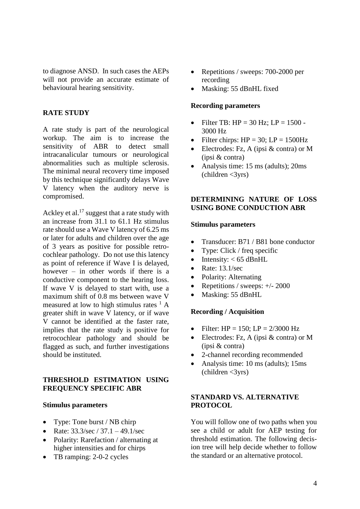to diagnose ANSD. In such cases the AEPs will not provide an accurate estimate of behavioural hearing sensitivity.

# **RATE STUDY**

A rate study is part of the neurological workup. The aim is to increase the sensitivity of ABR to detect small intracanalicular tumours or neurological abnormalities such as multiple sclerosis. The minimal neural recovery time imposed by this technique significantly delays Wave V latency when the auditory nerve is compromised.

Ackley et al.<sup>17</sup> suggest that a rate study with an increase from 31.1 to 61.1 Hz stimulus rate should use a Wave V latency of 6.25 ms or later for adults and children over the age of 3 years as positive for possible retrocochlear pathology. Do not use this latency as point of reference if Wave I is delayed, however – in other words if there is a conductive component to the hearing loss. If wave V is delayed to start with, use a maximum shift of 0.8 ms between wave V measured at low to high stimulus rates  $<sup>1</sup>$  A</sup> greater shift in wave V latency, or if wave V cannot be identified at the faster rate, implies that the rate study is positive for retrocochlear pathology and should be flagged as such, and further investigations should be instituted.

# **THRESHOLD ESTIMATION USING FREQUENCY SPECIFIC ABR**

#### **Stimulus parameters**

- Type: Tone burst / NB chirp
- Rate:  $33.3/\text{sec} / 37.1 49.1/\text{sec}$
- Polarity: Rarefaction / alternating at higher intensities and for chirps
- TB ramping: 2-0-2 cycles
- Repetitions / sweeps: 700-2000 per recording
- Masking: 55 dBnHL fixed

# **Recording parameters**

- Filter TB: HP = 30 Hz; LP = 1500 3000 Hz
- Filter chirps:  $HP = 30$ ;  $LP = 1500 Hz$
- Electrodes: Fz, A (ipsi & contra) or M (ipsi & contra)
- Analysis time: 15 ms (adults); 20ms  $\text{(children} < 3\text{yrs})$

# **DETERMINING NATURE OF LOSS USING BONE CONDUCTION ABR**

# **Stimulus parameters**

- Transducer: B71 / B81 bone conductor
- Type: Click / freq specific
- Intensity:  $<$  65 dBnHL
- Rate: 13.1/sec
- Polarity: Alternating
- Repetitions / sweeps:  $+/- 2000$
- Masking: 55 dBnHL

# **Recording / Acquisition**

- Filter:  $HP = 150$ ;  $LP = 2/3000$  Hz
- Electrodes: Fz, A (ipsi & contra) or M (ipsi & contra)
- 2-channel recording recommended
- Analysis time: 10 ms (adults); 15ms  $\text{(children} < 3\text{yrs})$

# **STANDARD VS. ALTERNATIVE PROTOCOL**

You will follow one of two paths when you see a child or adult for AEP testing for threshold estimation. The following decision tree will help decide whether to follow the standard or an alternative protocol.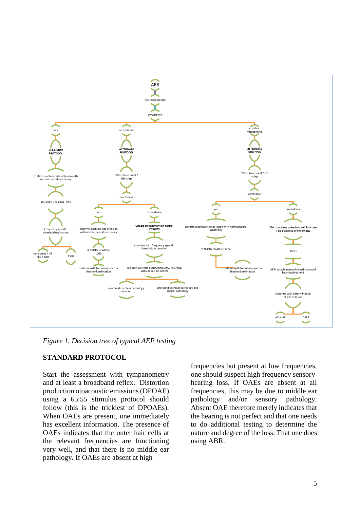

*Figure 1. Decision tree of typical AEP testing*

# **STANDARD PROTOCOL**

Start the assessment with tympanometry and at least a broadband reflex. Distortion production otoacoustic emissions (DPOAE) using a 65:55 stimulus protocol should follow (this is the trickiest of DPOAEs). When OAEs are present, one immediately has excellent information. The presence of OAEs indicates that the outer hair cells at the relevant frequencies are functioning very well, and that there is no middle ear pathology. If OAEs are absent at high

frequencies but present at low frequencies, one should suspect high frequency sensory hearing loss. If OAEs are absent at all frequencies, this may be due to middle ear pathology and/or sensory pathology. Absent OAE therefore merely indicates that the hearing is not perfect and that one needs to do additional testing to determine the nature and degree of the loss. That one does using ABR.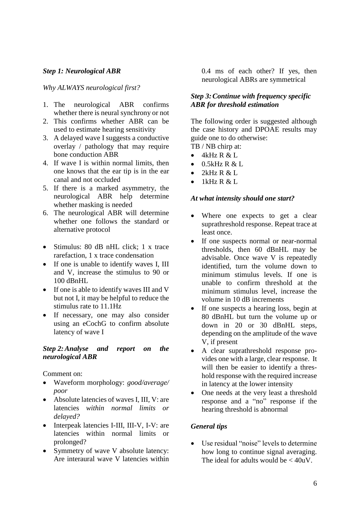# *Step 1: Neurological ABR*

*Why ALWAYS neurological first?*

- 1. The neurological ABR confirms whether there is neural synchrony or not
- 2. This confirms whether ABR can be used to estimate hearing sensitivity
- 3. A delayed wave I suggests a conductive overlay / pathology that may require bone conduction ABR
- 4. If wave I is within normal limits, then one knows that the ear tip is in the ear canal and not occluded
- 5. If there is a marked asymmetry, the neurological ABR help determine whether masking is needed
- 6. The neurological ABR will determine whether one follows the standard or alternative protocol
- Stimulus: 80 dB nHL click; 1 x trace rarefaction, 1 x trace condensation
- If one is unable to identify waves I, III and V, increase the stimulus to 90 or 100 dBnHL
- If one is able to identify waves III and V but not I, it may be helpful to reduce the stimulus rate to 11.1Hz
- If necessary, one may also consider using an eCochG to confirm absolute latency of wave I

# *Step 2:Analyse and report on the neurological ABR*

Comment on:

- Waveform morphology: *good/average/ poor*
- Absolute latencies of waves I, III, V: are latencies *within normal limits or delayed?*
- Interpeak latencies I-III, III-V, I-V: are latencies within normal limits or prolonged?
- Symmetry of wave V absolute latency: Are interaural wave V latencies within

0.4 ms of each other? If yes, then neurological ABRs are symmetrical

# *Step 3:Continue with frequency specific ABR for threshold estimation*

The following order is suggested although the case history and DPOAE results may guide one to do otherwise: TB / NB chirp at:

 $\bullet$  4kHz R & L

- 0.5kHz R & L
- 2kHz R & L
- 1kHz R & L

#### *At what intensity should one start?*

- Where one expects to get a clear suprathreshold response. Repeat trace at least once.
- If one suspects normal or near-normal thresholds, then 60 dBnHL may be advisable. Once wave V is repeatedly identified, turn the volume down to minimum stimulus levels. If one is unable to confirm threshold at the minimum stimulus level, increase the volume in 10 dB increments
- If one suspects a hearing loss, begin at 80 dBnHL but turn the volume up or down in 20 or 30 dBnHL steps, depending on the amplitude of the wave V, if present
- A clear suprathreshold response provides one with a large, clear response. It will then be easier to identify a threshold response with the required increase in latency at the lower intensity
- One needs at the very least a threshold response and a "no" response if the hearing threshold is abnormal

# *General tips*

• Use residual "noise" levels to determine how long to continue signal averaging. The ideal for adults would be < 40uV.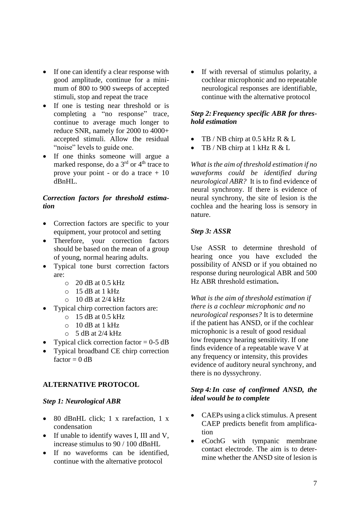- If one can identify a clear response with good amplitude, continue for a minimum of 800 to 900 sweeps of accepted stimuli, stop and repeat the trace
- If one is testing near threshold or is completing a "no response" trace, continue to average much longer to reduce SNR, namely for 2000 to 4000+ accepted stimuli. Allow the residual "noise" levels to guide one.
- If one thinks someone will argue a marked response, do a  $3<sup>rd</sup>$  or  $4<sup>th</sup>$  trace to prove your point - or do a trace + 10 dBnHL.

# *Correction factors for threshold estimation*

- Correction factors are specific to your equipment, your protocol and setting
- Therefore, your correction factors should be based on the mean of a group of young, normal hearing adults.
- Typical tone burst correction factors are:
	- $\circ$  20 dB at 0.5 kHz
	- $\circ$  15 dB at 1 kHz
	- $\circ$  10 dB at 2/4 kHz
- Typical chirp correction factors are:
	- $\circ$  15 dB at 0.5 kHz
	- o 10 dB at 1 kHz
	- $\circ$  5 dB at 2/4 kHz
- Typical click correction factor  $= 0.5$  dB
- Typical broadband CE chirp correction  $factor = 0$  dB

# **ALTERNATIVE PROTOCOL**

# *Step 1: Neurological ABR*

- 80 dBnHL click; 1 x rarefaction, 1 x condensation
- If unable to identify waves I, III and V, increase stimulus to 90 / 100 dBnHL
- If no waveforms can be identified, continue with the alternative protocol

If with reversal of stimulus polarity, a cochlear microphonic and no repeatable neurological responses are identifiable, continue with the alternative protocol

# *Step 2:Frequency specific ABR for threshold estimation*

- TB / NB chirp at 0.5 kHz R & L
- TB / NB chirp at 1 kHz R & L

*What is the aim of threshold estimation if no waveforms could be identified during neurological ABR?* It is to find evidence of neural synchrony. If there is evidence of neural synchrony, the site of lesion is the cochlea and the hearing loss is sensory in nature.

# *Step 3: ASSR*

Use ASSR to determine threshold of hearing once you have excluded the possibility of ANSD or if you obtained no response during neurological ABR and 500 Hz ABR threshold estimation**.**

*What is the aim of threshold estimation if there is a cochlear microphonic and no neurological responses?* It is to determine if the patient has ANSD, or if the cochlear microphonic is a result of good residual low frequency hearing sensitivity. If one finds evidence of a repeatable wave V at any frequency or intensity, this provides evidence of auditory neural synchrony, and there is no dyssychrony.

# *Step 4:In case of confirmed ANSD, the ideal would be to complete*

- CAEPs using a click stimulus. A present CAEP predicts benefit from amplification
- eCochG with tympanic membrane contact electrode. The aim is to determine whether the ANSD site of lesion is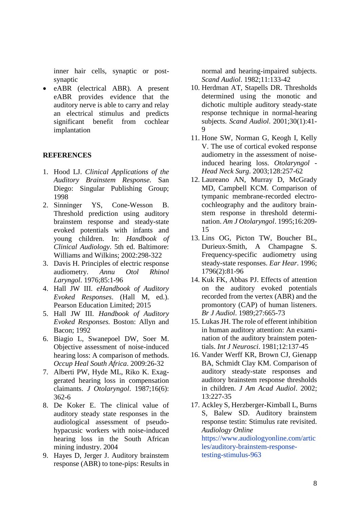inner hair cells, synaptic or postsynaptic

• eABR (electrical ABR). A present eABR provides evidence that the auditory nerve is able to carry and relay an electrical stimulus and predicts significant benefit from cochlear implantation

# **REFERENCES**

- 1. Hood LJ. *Clinical Applications of the Auditory Brainstem Response.* San Diego: Singular Publishing Group; 1998
- 2. Sinninger YS, Cone-Wesson B. Threshold prediction using auditory brainstem response and steady-state evoked potentials with infants and young children. In: *Handbook of Clinical Audiology*. 5th ed. Baltimore: Williams and Wilkins; 2002:298-322
- 3. Davis H. Principles of electric response audiometry. *Annu Otol Rhinol Laryngol*. 1976;85:1-96
- 4. Hall JW III. *eHandbook of Auditory Evoked Responses*. (Hall M, ed.). Pearson Education Limited; 2015
- 5. Hall JW III. *Handbook of Auditory Evoked Responses.* Boston: Allyn and Bacon; 1992
- 6. Biagio L, Swanepoel DW, Soer M. Objective assessment of noise-induced hearing loss: A comparison of methods. *Occup Heal South Africa*. 2009:26-32
- 7. Alberti PW, Hyde ML, Riko K. Exaggerated hearing loss in compensation claimants. *J Otolaryngol*. 1987;16(6): 362-6
- 8. De Koker E. The clinical value of auditory steady state responses in the audiological assessment of pseudohypacusic workers with noise-induced hearing loss in the South African mining industry. 2004
- 9. Hayes D, Jerger J. Auditory brainstem response (ABR) to tone-pips: Results in

normal and hearing-impaired subjects. *Scand Audiol*. 1982;11:133-42

- 10. Herdman AT, Stapells DR. Thresholds determined using the monotic and dichotic multiple auditory steady-state response technique in normal-hearing subjects. *Scand Audiol*. 2001;30(1):41- 9
- 11. Hone SW, Norman G, Keogh I, Kelly V. The use of cortical evoked response audiometry in the assessment of noiseinduced hearing loss. *Otolaryngol - Head Neck Surg*. 2003;128:257-62
- 12. Laureano AN, Murray D, McGrady MD, Campbell KCM. Comparison of tympanic membrane-recorded electrocochleography and the auditory brainstem response in threshold determination. *Am J Otolaryngol*. 1995;16:209- 15
- 13. Lins OG, Picton TW, Boucher BL, Durieux-Smith, A Champagne S. Frequency-specific audiometry using steady-state responses. *Ear Hear*. 1996; 1796(2):81-96
- 14. Kuk FK, Abbas PJ. Effects of attention on the auditory evoked potentials recorded from the vertex (ABR) and the promontory (CAP) of human listeners. *Br J Audiol*. 1989;27:665-73
- 15. Lukas JH. The role of efferent inhibition in human auditory attention: An examination of the auditory brainstem potentials. *Int J Neurosci*. 1981;12:137-45
- 16. Vander Werff KR, Brown CJ, Gienapp BA, Schmidt Clay KM. Comparison of auditory steady-state responses and auditory brainstem response thresholds in children. *J Am Acad Audiol*. 2002; 13:227-35
- 17. Ackley S, Herzberger-Kimball L, Burns S, Balew SD. Auditory brainstem response testin: Stimulus rate revisited. *Audiology Online* https://www.audiologyonline.com/artic les/auditory-brainstem-responsetesting-stimulus-963